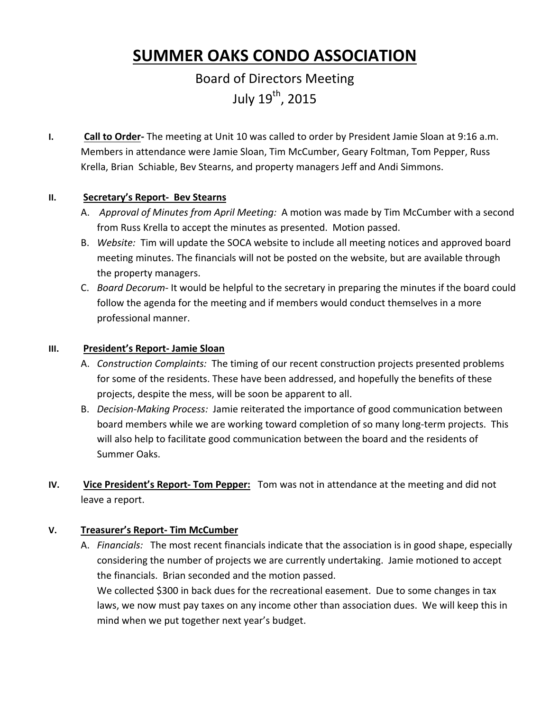# **SUMMER OAKS CONDO ASSOCIATION**

# Board of Directors Meeting July  $19^{th}$ , 2015

**I. Call to Order‐** The meeting at Unit 10 was called to order by President Jamie Sloan at 9:16 a.m. Members in attendance were Jamie Sloan, Tim McCumber, Geary Foltman, Tom Pepper, Russ Krella, Brian Schiable, Bev Stearns, and property managers Jeff and Andi Simmons.

## **II. Secretary's Report‐ Bev Stearns**

- A. *Approval of Minutes from April Meeting:* A motion was made by Tim McCumber with a second from Russ Krella to accept the minutes as presented. Motion passed.
- B. *Website:* Tim will update the SOCA website to include all meeting notices and approved board meeting minutes. The financials will not be posted on the website, but are available through the property managers.
- C. *Board Decorum‐* It would be helpful to the secretary in preparing the minutes if the board could follow the agenda for the meeting and if members would conduct themselves in a more professional manner.

## **III. President's Report‐ Jamie Sloan**

- A. *Construction Complaints:* The timing of our recent construction projects presented problems for some of the residents. These have been addressed, and hopefully the benefits of these projects, despite the mess, will be soon be apparent to all.
- B. *Decision‐Making Process:* Jamie reiterated the importance of good communication between board members while we are working toward completion of so many long‐term projects. This will also help to facilitate good communication between the board and the residents of Summer Oaks.
- **IV. Vice President's Report‐ Tom Pepper:** Tom was not in attendance at the meeting and did not leave a report.

# **V. Treasurer's Report‐ Tim McCumber**

A. *Financials:* The most recent financials indicate that the association is in good shape, especially considering the number of projects we are currently undertaking. Jamie motioned to accept the financials. Brian seconded and the motion passed. We collected \$300 in back dues for the recreational easement. Due to some changes in tax laws, we now must pay taxes on any income other than association dues. We will keep this in mind when we put together next year's budget.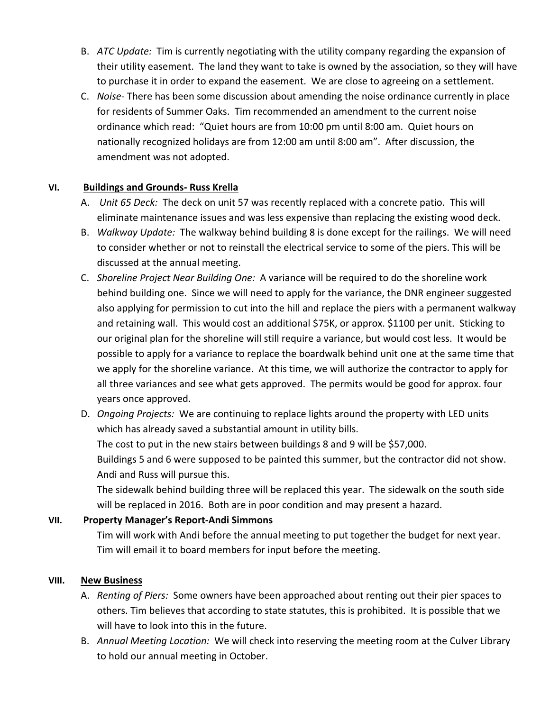- B. *ATC Update:* Tim is currently negotiating with the utility company regarding the expansion of their utility easement. The land they want to take is owned by the association, so they will have to purchase it in order to expand the easement. We are close to agreeing on a settlement.
- C. *Noise‐* There has been some discussion about amending the noise ordinance currently in place for residents of Summer Oaks. Tim recommended an amendment to the current noise ordinance which read: "Quiet hours are from 10:00 pm until 8:00 am. Quiet hours on nationally recognized holidays are from 12:00 am until 8:00 am". After discussion, the amendment was not adopted.

# **VI. Buildings and Grounds‐ Russ Krella**

- A. *Unit 65 Deck:* The deck on unit 57 was recently replaced with a concrete patio. This will eliminate maintenance issues and was less expensive than replacing the existing wood deck.
- B. *Walkway Update:* The walkway behind building 8 is done except for the railings. We will need to consider whether or not to reinstall the electrical service to some of the piers. This will be discussed at the annual meeting.
- C. *Shoreline Project Near Building One:* A variance will be required to do the shoreline work behind building one. Since we will need to apply for the variance, the DNR engineer suggested also applying for permission to cut into the hill and replace the piers with a permanent walkway and retaining wall. This would cost an additional \$75K, or approx. \$1100 per unit. Sticking to our original plan for the shoreline will still require a variance, but would cost less. It would be possible to apply for a variance to replace the boardwalk behind unit one at the same time that we apply for the shoreline variance. At this time, we will authorize the contractor to apply for all three variances and see what gets approved. The permits would be good for approx. four years once approved.
- D. *Ongoing Projects:* We are continuing to replace lights around the property with LED units which has already saved a substantial amount in utility bills. The cost to put in the new stairs between buildings 8 and 9 will be \$57,000. Buildings 5 and 6 were supposed to be painted this summer, but the contractor did not show. Andi and Russ will pursue this.

The sidewalk behind building three will be replaced this year. The sidewalk on the south side will be replaced in 2016. Both are in poor condition and may present a hazard.

## **VII. Property Manager's Report‐Andi Simmons**

Tim will work with Andi before the annual meeting to put together the budget for next year. Tim will email it to board members for input before the meeting.

## **VIII. New Business**

- A. *Renting of Piers:* Some owners have been approached about renting out their pier spaces to others. Tim believes that according to state statutes, this is prohibited. It is possible that we will have to look into this in the future.
- B. *Annual Meeting Location:* We will check into reserving the meeting room at the Culver Library to hold our annual meeting in October.